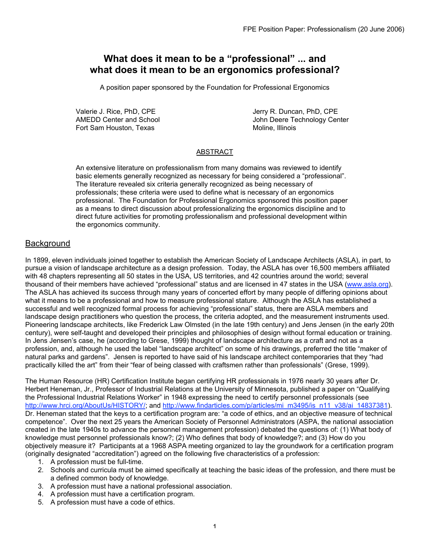# **What does it mean to be a "professional" ... and what does it mean to be an ergonomics professional?**

A position paper sponsored by the Foundation for Professional Ergonomics

Fort Sam Houston, Texas Moline, Illinois

Valerie J. Rice, PhD, CPE<br>
AMEDD Center and School 
AMEDD Center and School 
and School and School and School and American and School and American and American and American and American and American and American and Americ John Deere Technology Center

## ABSTRACT

An extensive literature on professionalism from many domains was reviewed to identify basic elements generally recognized as necessary for being considered a "professional". The literature revealed six criteria generally recognized as being necessary of professionals; these criteria were used to define what is necessary of an ergonomics professional. The Foundation for Professional Ergonomics sponsored this position paper as a means to direct discussion about professionalizing the ergonomics discipline and to direct future activities for promoting professionalism and professional development within the ergonomics community.

## **Background**

In 1899, eleven individuals joined together to establish the American Society of Landscape Architects (ASLA), in part, to pursue a vision of landscape architecture as a design profession. Today, the ASLA has over 16,500 members affiliated with 48 chapters representing all 50 states in the USA, US territories, and 42 countries around the world; several thousand of their members have achieved "professional" status and are licensed in 47 states in the USA (www.asla.org). The ASLA has achieved its success through many years of concerted effort by many people of differing opinions about what it means to be a professional and how to measure professional stature. Although the ASLA has established a successful and well recognized formal process for achieving "professional" status, there are ASLA members and landscape design practitioners who question the process, the criteria adopted, and the measurement instruments used. Pioneering landscape architects, like Frederick Law Olmsted (in the late 19th century) and Jens Jensen (in the early 20th century), were self-taught and developed their principles and philosophies of design without formal education or training. In Jens Jensen's case, he (according to Grese, 1999) thought of landscape architecture as a craft and not as a profession, and, although he used the label "landscape architect" on some of his drawings, preferred the title "maker of natural parks and gardens". Jensen is reported to have said of his landscape architect contemporaries that they "had practically killed the art" from their "fear of being classed with craftsmen rather than professionals" (Grese, 1999).

The Human Resource (HR) Certification Institute began certifying HR professionals in 1976 nearly 30 years after Dr. Herbert Heneman, Jr., Professor of Industrial Relations at the University of Minnesota, published a paper on "Qualifying the Professional Industrial Relations Worker" in 1948 expressing the need to certify personnel professionals (see http://www.hrci.org/AboutUs/HISTORY/; and http://www.findarticles.com/p/articles/mi\_m3495/is\_n11\_v38/ai\_14837381). Dr. Heneman stated that the keys to a certification program are: "a code of ethics, and an objective measure of technical competence". Over the next 25 years the American Society of Personnel Administrators (ASPA, the national association created in the late 1940s to advance the personnel management profession) debated the questions of: (1) What body of knowledge must personnel professionals know?; (2) Who defines that body of knowledge?; and (3) How do you objectively measure it? Participants at a 1968 ASPA meeting organized to lay the groundwork for a certification program (originally designated "accreditation") agreed on the following five characteristics of a profession:

- 1. A profession must be full-time.
- 2. Schools and curricula must be aimed specifically at teaching the basic ideas of the profession, and there must be a defined common body of knowledge.
- 3. A profession must have a national professional association.
- 4. A profession must have a certification program.
- 5. A profession must have a code of ethics.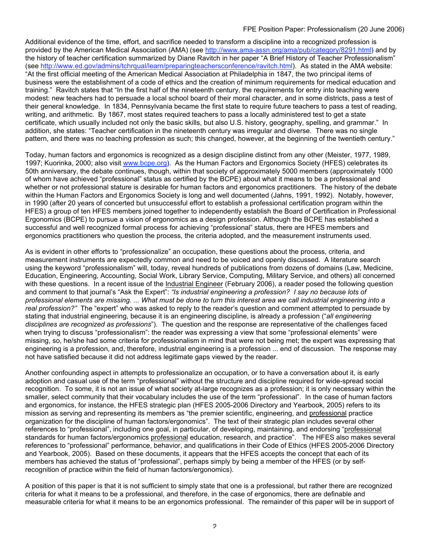Additional evidence of the time, effort, and sacrifice needed to transform a discipline into a recognized profession is provided by the American Medical Association (AMA) (see http://www.ama-assn.org/ama/pub/category/8291.html) and by the history of teacher certification summarized by Diane Ravitch in her paper "A Brief History of Teacher Professionalism" (see http://www.ed.gov/admins/tchrqual/learn/preparingteachersconference/ravitch.html). As stated in the AMA website: "At the first official meeting of the American Medical Association at Philadelphia in 1847, the two principal items of business were the establishment of a code of ethics and the creation of minimum requirements for medical education and training." Ravitch states that "In the first half of the nineteenth century, the requirements for entry into teaching were modest: new teachers had to persuade a local school board of their moral character, and in some districts, pass a test of their general knowledge. In 1834, Pennsylvania became the first state to require future teachers to pass a test of reading, writing, and arithmetic. By 1867, most states required teachers to pass a locally administered test to get a state certificate, which usually included not only the basic skills, but also U.S. history, geography, spelling, and grammar." In addition, she states: "Teacher certification in the nineteenth century was irregular and diverse. There was no single pattern, and there was no teaching profession as such; this changed, however, at the beginning of the twentieth century."

Today, human factors and ergonomics is recognized as a design discipline distinct from any other (Meister, 1977, 1989, 1997; Kuorinka, 2000; also visit www.bcpe.org). As the Human Factors and Ergonomics Society (HFES) celebrates its 50th anniversary, the debate continues, though, within that society of approximately 5000 members (approximately 1000 of whom have achieved "professional" status as certified by the BCPE) about what it means to be a professional and whether or not professional stature is desirable for human factors and ergonomics practitioners. The history of the debate within the Human Factors and Ergonomics Society is long and well documented (Jahns, 1991, 1992). Notably, however, in 1990 (after 20 years of concerted but unsuccessful effort to establish a professional certification program within the HFES) a group of ten HFES members joined together to independently establish the Board of Certification in Professional Ergonomics (BCPE) to pursue a vision of ergonomics as a design profession. Although the BCPE has established a successful and well recognized formal process for achieving "professional" status, there are HFES members and ergonomics practitioners who question the process, the criteria adopted, and the measurement instruments used.

As is evident in other efforts to "professionalize" an occupation, these questions about the process, criteria, and measurement instruments are expectedly common and need to be voiced and openly discussed. A literature search using the keyword "professionalism" will, today, reveal hundreds of publications from dozens of domains (Law, Medicine, Education, Engineering, Accounting, Social Work, Library Service, Computing, Military Service, and others) all concerned with these questions. In a recent issue of the Industrial Engineer (February 2006), a reader posed the following question and comment to that journal's "Ask the Expert": *"Is industrial engineering a profession? I say no because lots of professional elements are missing. ... What must be done to turn this interest area we call industrial engineering into a real profession?"* The "expert" who was asked to reply to the reader's question and comment attempted to persuade by stating that industrial engineering, because it is an engineering discipline, is already a profession ("*all engineering disciplines are recognized as professions*"). The question and the response are representative of the challenges faced when trying to discuss "professionalism": the reader was expressing a view that some "professional elements" were missing, so, he/she had some criteria for professionalism in mind that were not being met; the expert was expressing that engineering is a profession, and, therefore, industrial engineering is a profession ... end of discussion. The response may not have satisfied because it did not address legitimate gaps viewed by the reader.

Another confounding aspect in attempts to professionalize an occupation, or to have a conversation about it, is early adoption and casual use of the term "professional" without the structure and discipline required for wide-spread social recognition. To some, it is not an issue of what society at-large recognizes as a profession; it is only necessary within the smaller, select community that their vocabulary includes the use of the term "professional". In the case of human factors and ergonomics, for instance, the HFES strategic plan (HFES 2005-2006 Directory and Yearbook, 2005) refers to its mission as serving and representing its members as "the premier scientific, engineering, and professional practice organization for the discipline of human factors/ergonomics". The text of their strategic plan includes several other references to "professional", including one goal, in particular, of developing, maintaining, and endorsing "professional standards for human factors/ergonomics professional education, research, and practice". The HFES also makes several references to "professional" performance, behavior, and qualifications in their Code of Ethics (HFES 2005-2006 Directory and Yearbook, 2005). Based on these documents, it appears that the HFES accepts the concept that each of its members has achieved the status of "professional", perhaps simply by being a member of the HFES (or by selfrecognition of practice within the field of human factors/ergonomics).

A position of this paper is that it is not sufficient to simply state that one is a professional, but rather there are recognized criteria for what it means to be a professional, and therefore, in the case of ergonomics, there are definable and measurable criteria for what it means to be an ergonomics professional. The remainder of this paper will be in support of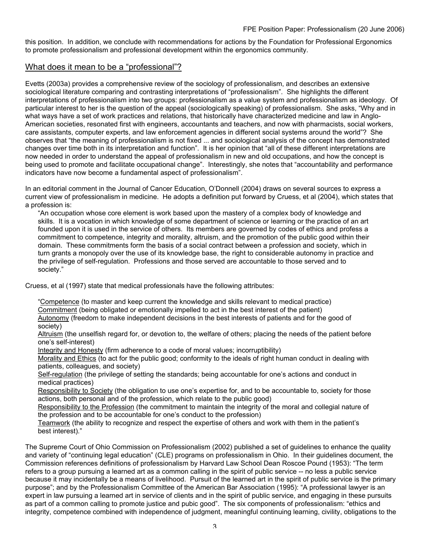this position. In addition, we conclude with recommendations for actions by the Foundation for Professional Ergonomics to promote professionalism and professional development within the ergonomics community.

## What does it mean to be a "professional"?

Evetts (2003a) provides a comprehensive review of the sociology of professionalism, and describes an extensive sociological literature comparing and contrasting interpretations of "professionalism". She highlights the different interpretations of professionalism into two groups: professionalism as a value system and professionalism as ideology. Of particular interest to her is the question of the appeal (sociologically speaking) of professionalism. She asks, "Why and in what ways have a set of work practices and relations, that historically have characterized medicine and law in Anglo-American societies, resonated first with engineers, accountants and teachers, and now with pharmacists, social workers, care assistants, computer experts, and law enforcement agencies in different social systems around the world"? She observes that "the meaning of professionalism is not fixed ... and sociological analysis of the concept has demonstrated changes over time both in its interpretation and function". It is her opinion that "all of these different interpretations are now needed in order to understand the appeal of professionalism in new and old occupations, and how the concept is being used to promote and facilitate occupational change". Interestingly, she notes that "accountability and performance indicators have now become a fundamental aspect of professionalism".

In an editorial comment in the Journal of Cancer Education, O'Donnell (2004) draws on several sources to express a current view of professionalism in medicine. He adopts a definition put forward by Cruess, et al (2004), which states that a profession is:

"An occupation whose core element is work based upon the mastery of a complex body of knowledge and skills. It is a vocation in which knowledge of some department of science or learning or the practice of an art founded upon it is used in the service of others. Its members are governed by codes of ethics and profess a commitment to competence, integrity and morality, altruism, and the promotion of the public good within their domain. These commitments form the basis of a social contract between a profession and society, which in turn grants a monopoly over the use of its knowledge base, the right to considerable autonomy in practice and the privilege of self-regulation. Professions and those served are accountable to those served and to society."

Cruess, et al (1997) state that medical professionals have the following attributes:

"Competence (to master and keep current the knowledge and skills relevant to medical practice) Commitment (being obligated or emotionally impelled to act in the best interest of the patient) Autonomy (freedom to make independent decisions in the best interests of patients and for the good of

society)

Altruism (the unselfish regard for, or devotion to, the welfare of others; placing the needs of the patient before one's self-interest)

Integrity and Honesty (firm adherence to a code of moral values; incorruptibility)

Morality and Ethics (to act for the public good; conformity to the ideals of right human conduct in dealing with patients, colleagues, and society)

Self-regulation (the privilege of setting the standards; being accountable for one's actions and conduct in medical practices)

Responsibility to Society (the obligation to use one's expertise for, and to be accountable to, society for those actions, both personal and of the profession, which relate to the public good)

Responsibility to the Profession (the commitment to maintain the integrity of the moral and collegial nature of the profession and to be accountable for one's conduct to the profession)

Teamwork (the ability to recognize and respect the expertise of others and work with them in the patient's best interest)."

The Supreme Court of Ohio Commission on Professionalism (2002) published a set of guidelines to enhance the quality and variety of "continuing legal education" (CLE) programs on professionalism in Ohio. In their guidelines document, the Commission references definitions of professionalism by Harvard Law School Dean Roscoe Pound (1953): "The term refers to a group pursuing a learned art as a common calling in the spirit of public service -- no less a public service because it may incidentally be a means of livelihood. Pursuit of the learned art in the spirit of public service is the primary purpose"; and by the Professionalism Committee of the American Bar Association (1995): "A professional lawyer is an expert in law pursuing a learned art in service of clients and in the spirit of public service, and engaging in these pursuits as part of a common calling to promote justice and pubic good". The six components of professionalism: "ethics and integrity, competence combined with independence of judgment, meaningful continuing learning, civility, obligations to the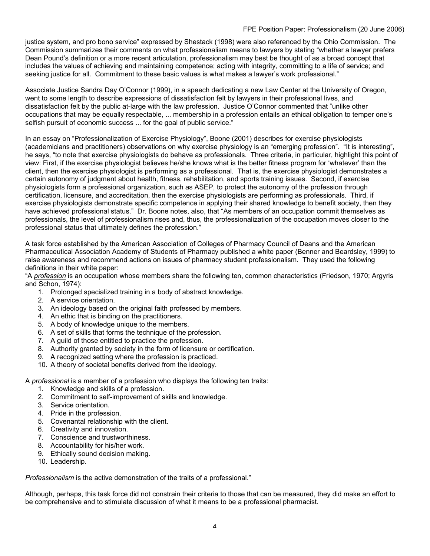#### FPE Position Paper: Professionalism (20 June 2006)

justice system, and pro bono service" expressed by Shestack (1998) were also referenced by the Ohio Commission. The Commission summarizes their comments on what professionalism means to lawyers by stating "whether a lawyer prefers Dean Pound's definition or a more recent articulation, professionalism may best be thought of as a broad concept that includes the values of achieving and maintaining competence; acting with integrity, committing to a life of service; and seeking justice for all. Commitment to these basic values is what makes a lawyer's work professional."

Associate Justice Sandra Day O'Connor (1999), in a speech dedicating a new Law Center at the University of Oregon, went to some length to describe expressions of dissatisfaction felt by lawyers in their professional lives, and dissatisfaction felt by the public at-large with the law profession. Justice O'Connor commented that "unlike other occupations that may be equally respectable, ... membership in a profession entails an ethical obligation to temper one's selfish pursuit of economic success ... for the goal of public service."

In an essay on "Professionalization of Exercise Physiology", Boone (2001) describes for exercise physiologists (academicians and practitioners) observations on why exercise physiology is an "emerging profession". "It is interesting", he says, "to note that exercise physiologists do behave as professionals. Three criteria, in particular, highlight this point of view: First, if the exercise physiologist believes he/she knows what is the better fitness program for 'whatever' than the client, then the exercise physiologist is performing as a professional. That is, the exercise physiologist demonstrates a certain autonomy of judgment about health, fitness, rehabilitation, and sports training issues. Second, if exercise physiologists form a professional organization, such as ASEP, to protect the autonomy of the profession through certification, licensure, and accreditation, then the exercise physiologists are performing as professionals. Third, if exercise physiologists demonstrate specific competence in applying their shared knowledge to benefit society, then they have achieved professional status." Dr. Boone notes, also, that "As members of an occupation commit themselves as professionals, the level of professionalism rises and, thus, the professionalization of the occupation moves closer to the professional status that ultimately defines the profession."

A task force established by the American Association of Colleges of Pharmacy Council of Deans and the American Pharmaceutical Association Academy of Students of Pharmacy published a white paper (Benner and Beardsley, 1999) to raise awareness and recommend actions on issues of pharmacy student professionalism. They used the following definitions in their white paper:

"A *profession* is an occupation whose members share the following ten, common characteristics (Friedson, 1970; Argyris and Schon, 1974):

- 1. Prolonged specialized training in a body of abstract knowledge.
- 2. A service orientation.
- 3. An ideology based on the original faith professed by members.
- 4. An ethic that is binding on the practitioners.
- 5. A body of knowledge unique to the members.
- 6. A set of skills that forms the technique of the profession.
- 7. A guild of those entitled to practice the profession.
- 8. Authority granted by society in the form of licensure or certification.
- 9. A recognized setting where the profession is practiced.
- 10. A theory of societal benefits derived from the ideology.

A *professional* is a member of a profession who displays the following ten traits:

- 1. Knowledge and skills of a profession.
- 2. Commitment to self-improvement of skills and knowledge.
- 3. Service orientation.
- 4. Pride in the profession.
- 5. Covenantal relationship with the client.
- 6. Creativity and innovation.
- 7. Conscience and trustworthiness.
- 8. Accountability for his/her work.
- 9. Ethically sound decision making.
- 10. Leadership.

*Professionalism* is the active demonstration of the traits of a professional."

Although, perhaps, this task force did not constrain their criteria to those that can be measured, they did make an effort to be comprehensive and to stimulate discussion of what it means to be a professional pharmacist.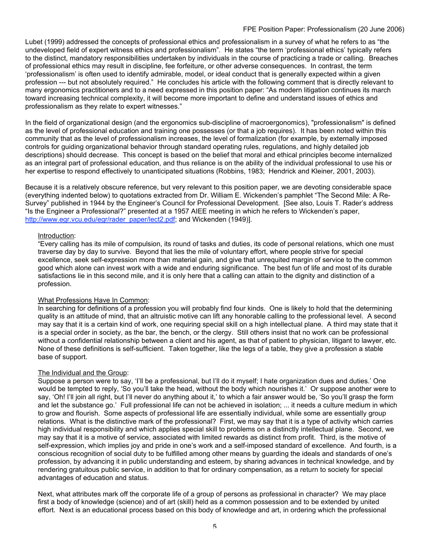Lubet (1999) addressed the concepts of professional ethics and professionalism in a survey of what he refers to as "the undeveloped field of expert witness ethics and professionalism". He states "the term 'professional ethics' typically refers to the distinct, mandatory responsibilities undertaken by individuals in the course of practicing a trade or calling. Breaches of professional ethics may result in discipline, fee forfeiture, or other adverse consequences. In contrast, the term 'professionalism' is often used to identify admirable, model, or ideal conduct that is generally expected within a given profession --- but not absolutely required." He concludes his article with the following comment that is directly relevant to many ergonomics practitioners and to a need expressed in this position paper: "As modern litigation continues its march toward increasing technical complexity, it will become more important to define and understand issues of ethics and professionalism as they relate to expert witnesses."

In the field of organizational design (and the ergonomics sub-discipline of macroergonomics), "professionalism" is defined as the level of professional education and training one possesses (or that a job requires). It has been noted within this community that as the level of professionalism increases, the level of formalization (for example, by externally imposed controls for guiding organizational behavior through standard operating rules, regulations, and highly detailed job descriptions) should decrease. This concept is based on the belief that moral and ethical principles become internalized as an integral part of professional education, and thus reliance is on the ability of the individual professional to use his or her expertise to respond effectively to unanticipated situations (Robbins, 1983; Hendrick and Kleiner, 2001, 2003).

Because it is a relatively obscure reference, but very relevant to this position paper, we are devoting considerable space (everything indented below) to quotations extracted from Dr. William E. Wickenden's pamphlet "The Second Mile: A Re-Survey" published in 1944 by the Engineer's Council for Professional Development. [See also, Louis T. Rader's address "Is the Engineer a Professional?" presented at a 1957 AIEE meeting in which he refers to Wickenden's paper, http://www.egr.vcu.edu/egr/rader\_paper/lect2.pdf; and Wickenden (1949)].

### Introduction:

"Every calling has its mile of compulsion, its round of tasks and duties, its code of personal relations, which one must traverse day by day to survive. Beyond that lies the mile of voluntary effort, where people strive for special excellence, seek self-expression more than material gain, and give that unrequited margin of service to the common good which alone can invest work with a wide and enduring significance. The best fun of life and most of its durable satisfactions lie in this second mile, and it is only here that a calling can attain to the dignity and distinction of a profession.

### What Professions Have In Common:

In searching for definitions of a profession you will probably find four kinds. One is likely to hold that the determining quality is an attitude of mind, that an altruistic motive can lift any honorable calling to the professional level. A second may say that it is a certain kind of work, one requiring special skill on a high intellectual plane. A third may state that it is a special order in society, as the bar, the bench, or the clergy. Still others insist that no work can be professional without a confidential relationship between a client and his agent, as that of patient to physician, litigant to lawyer, etc. None of these definitions is self-sufficient. Taken together, like the legs of a table, they give a profession a stable base of support.

### The Individual and the Group:

Suppose a person were to say, 'I'll be a professional, but I'll do it myself; I hate organization dues and duties.' One would be tempted to reply, 'So you'll take the head, without the body which nourishes it.' Or suppose another were to say, 'Oh! I'll join all right, but I'll never do anything about it,' to which a fair answer would be, 'So you'll grasp the form and let the substance go.' Full professional life can not be achieved in isolation; ... it needs a culture medium in which to grow and flourish. Some aspects of professional life are essentially individual, while some are essentially group relations. What is the distinctive mark of the professional? First, we may say that it is a type of activity which carries high individual responsibility and which applies special skill to problems on a distinctly intellectual plane. Second, we may say that it is a motive of service, associated with limited rewards as distinct from profit. Third, is the motive of self-expression, which implies joy and pride in one's work and a self-imposed standard of excellence. And fourth, is a conscious recognition of social duty to be fulfilled among other means by guarding the ideals and standards of one's profession, by advancing it in public understanding and esteem, by sharing advances in technical knowledge, and by rendering gratuitous public service, in addition to that for ordinary compensation, as a return to society for special advantages of education and status.

Next, what attributes mark off the corporate life of a group of persons as professional in character? We may place first a body of knowledge (science) and of art (skill) held as a common possession and to be extended by united effort. Next is an educational process based on this body of knowledge and art, in ordering which the professional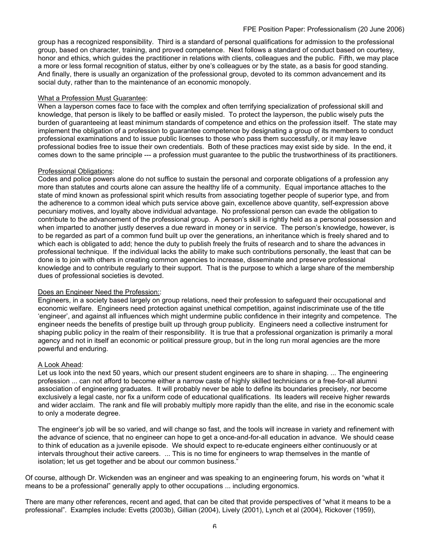group has a recognized responsibility. Third is a standard of personal qualifications for admission to the professional group, based on character, training, and proved competence. Next follows a standard of conduct based on courtesy, honor and ethics, which guides the practitioner in relations with clients, colleagues and the public. Fifth, we may place a more or less formal recognition of status, either by one's colleagues or by the state, as a basis for good standing. And finally, there is usually an organization of the professional group, devoted to its common advancement and its social duty, rather than to the maintenance of an economic monopoly.

#### What a Profession Must Guarantee:

When a layperson comes face to face with the complex and often terrifying specialization of professional skill and knowledge, that person is likely to be baffled or easily misled. To protect the layperson, the public wisely puts the burden of guaranteeing at least minimum standards of competence and ethics on the profession itself. The state may implement the obligation of a profession to guarantee competence by designating a group of its members to conduct professional examinations and to issue public licenses to those who pass them successfully, or it may leave professional bodies free to issue their own credentials. Both of these practices may exist side by side. In the end, it comes down to the same principle --- a profession must guarantee to the public the trustworthiness of its practitioners.

#### Professional Obligations:

Codes and police powers alone do not suffice to sustain the personal and corporate obligations of a profession any more than statutes and courts alone can assure the healthy life of a community. Equal importance attaches to the state of mind known as professional spirit which results from associating together people of superior type, and from the adherence to a common ideal which puts service above gain, excellence above quantity, self-expression above pecuniary motives, and loyalty above individual advantage. No professional person can evade the obligation to contribute to the advancement of the professional group. A person's skill is rightly held as a personal possession and when imparted to another justly deserves a due reward in money or in service. The person's knowledge, however, is to be regarded as part of a common fund built up over the generations, an inheritance which is freely shared and to which each is obligated to add; hence the duty to publish freely the fruits of research and to share the advances in professional technique. If the individual lacks the ability to make such contributions personally, the least that can be done is to join with others in creating common agencies to increase, disseminate and preserve professional knowledge and to contribute regularly to their support. That is the purpose to which a large share of the membership dues of professional societies is devoted.

### Does an Engineer Need the Profession::

Engineers, in a society based largely on group relations, need their profession to safeguard their occupational and economic welfare. Engineers need protection against unethical competition, against indiscriminate use of the title 'engineer', and against all influences which might undermine public confidence in their integrity and competence. The engineer needs the benefits of prestige built up through group publicity. Engineers need a collective instrument for shaping public policy in the realm of their responsibility. It is true that a professional organization is primarily a moral agency and not in itself an economic or political pressure group, but in the long run moral agencies are the more powerful and enduring.

### A Look Ahead:

Let us look into the next 50 years, which our present student engineers are to share in shaping. ... The engineering profession ... can not afford to become either a narrow caste of highly skilled technicians or a free-for-all alumni association of engineering graduates. It will probably never be able to define its boundaries precisely, nor become exclusively a legal caste, nor fix a uniform code of educational qualifications. Its leaders will receive higher rewards and wider acclaim. The rank and file will probably multiply more rapidly than the elite, and rise in the economic scale to only a moderate degree.

The engineer's job will be so varied, and will change so fast, and the tools will increase in variety and refinement with the advance of science, that no engineer can hope to get a once-and-for-all education in advance. We should cease to think of education as a juvenile episode. We should expect to re-educate engineers either continuously or at intervals throughout their active careers. ... This is no time for engineers to wrap themselves in the mantle of isolation; let us get together and be about our common business."

Of course, although Dr. Wickenden was an engineer and was speaking to an engineering forum, his words on "what it means to be a professional" generally apply to other occupations ... including ergonomics.

There are many other references, recent and aged, that can be cited that provide perspectives of "what it means to be a professional". Examples include: Evetts (2003b), Gillian (2004), Lively (2001), Lynch et al (2004), Rickover (1959),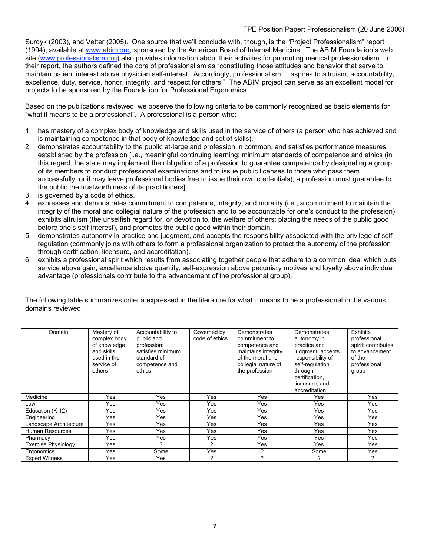Surdyk (2003), and Vetter (2005). One source that we'll conclude with, though, is the "Project Professionalism" report (1994), available at www.abim.org, sponsored by the American Board of Internal Medicine. The ABIM Foundation's web site (www.professionalism.org) also provides information about their activities for promoting medical professionalism. In their report, the authors defined the core of professionalism as "constituting those attitudes and behavior that serve to maintain patient interest above physician self-interest. Accordingly, professionalism ... aspires to altruism, accountability, excellence, duty, service, honor, integrity, and respect for others." The ABIM project can serve as an excellent model for projects to be sponsored by the Foundation for Professional Ergonomics.

Based on the publications reviewed, we observe the following criteria to be commonly recognized as basic elements for "what it means to be a professional". A professional is a person who:

- 1. has mastery of a complex body of knowledge and skills used in the service of others (a person who has achieved and is maintaining competence in that body of knowledge and set of skills).
- 2. demonstrates accountability to the public at-large and profession in common, and satisfies performance measures established by the profession [i.e., meaningful continuing learning; minimum standards of competence and ethics (in this regard, the state may implement the obligation of a profession to guarantee competence by designating a group of its members to conduct professional examinations and to issue public licenses to those who pass them successfully, or it may leave professional bodies free to issue their own credentials); a profession must guarantee to the public the trustworthiness of its practitioners].
- 3. is governed by a code of ethics.
- 4. expresses and demonstrates commitment to competence, integrity, and morality (i.e., a commitment to maintain the integrity of the moral and collegial nature of the profession and to be accountable for one's conduct to the profession), exhibits altruism (the unselfish regard for, or devotion to, the welfare of others; placing the needs of the public good before one's self-interest), and promotes the public good within their domain.
- 5. demonstrates autonomy in practice and judgment, and accepts the responsibility associated with the privilege of selfregulation (commonly joins with others to form a professional organization to protect the autonomy of the profession through certification, licensure, and accreditation).
- 6. exhibits a professional spirit which results from associating together people that adhere to a common ideal which puts service above gain, excellence above quantity, self-expression above pecuniary motives and loyalty above individual advantage (professionals contribute to the advancement of the professional group).

The following table summarizes criteria expressed in the literature for what it means to be a professional in the various domains reviewed:

| Domain                 | Mastery of<br>complex body<br>of knowledge<br>and skills<br>used in the<br>service of<br>others | Accountability to<br>public and<br>profession:<br>satisfies minimum<br>standard of<br>competence and<br>ethics | Governed by<br>code of ethics | Demonstrates<br>commitment to<br>competence and<br>maintains integrity<br>of the moral and<br>collegial nature of<br>the profession | Demonstrates<br>autonomy in<br>practice and<br>judgment; accepts<br>responsibility of<br>self-requlation<br>through<br>certification.<br>licensure, and<br>accreditation | <b>Exhibits</b><br>professional<br>spirit: contributes<br>to advancement<br>of the<br>professional<br>group |
|------------------------|-------------------------------------------------------------------------------------------------|----------------------------------------------------------------------------------------------------------------|-------------------------------|-------------------------------------------------------------------------------------------------------------------------------------|--------------------------------------------------------------------------------------------------------------------------------------------------------------------------|-------------------------------------------------------------------------------------------------------------|
| Medicine               | Yes                                                                                             | Yes                                                                                                            | Yes                           | Yes                                                                                                                                 | Yes                                                                                                                                                                      | Yes                                                                                                         |
| Law                    | Yes                                                                                             | Yes                                                                                                            | Yes                           | Yes                                                                                                                                 | Yes                                                                                                                                                                      | Yes                                                                                                         |
| Education (K-12)       | Yes                                                                                             | Yes                                                                                                            | Yes                           | Yes                                                                                                                                 | Yes                                                                                                                                                                      | Yes                                                                                                         |
| Engineering            | Yes                                                                                             | Yes                                                                                                            | Yes                           | Yes                                                                                                                                 | Yes                                                                                                                                                                      | Yes                                                                                                         |
| Landscape Architecture | Yes                                                                                             | Yes                                                                                                            | Yes                           | Yes                                                                                                                                 | Yes                                                                                                                                                                      | Yes                                                                                                         |
| Human Resources        | Yes                                                                                             | Yes                                                                                                            | Yes                           | Yes                                                                                                                                 | Yes                                                                                                                                                                      | Yes                                                                                                         |
| Pharmacy               | Yes                                                                                             | Yes                                                                                                            | Yes                           | Yes                                                                                                                                 | Yes                                                                                                                                                                      | Yes                                                                                                         |
| Exercise Physiology    | Yes                                                                                             |                                                                                                                | っ                             | Yes                                                                                                                                 | Yes                                                                                                                                                                      | Yes                                                                                                         |
| Ergonomics             | Yes                                                                                             | Some                                                                                                           | Yes                           | っ                                                                                                                                   | Some                                                                                                                                                                     | Yes                                                                                                         |
| <b>Expert Witness</b>  | Yes                                                                                             | Yes                                                                                                            | ?                             | ?                                                                                                                                   |                                                                                                                                                                          | ?                                                                                                           |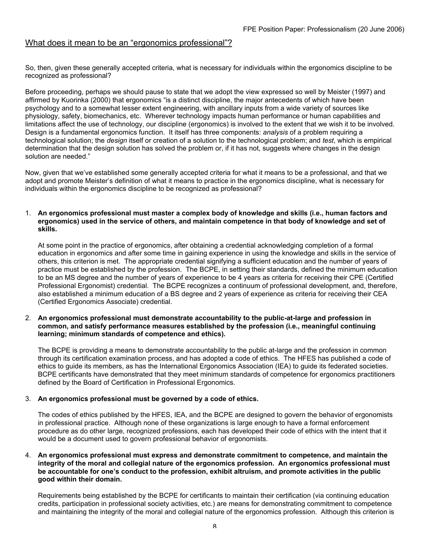## What does it mean to be an "ergonomics professional"?

So, then, given these generally accepted criteria, what is necessary for individuals within the ergonomics discipline to be recognized as professional?

Before proceeding, perhaps we should pause to state that we adopt the view expressed so well by Meister (1997) and affirmed by Kuorinka (2000) that ergonomics "is a distinct discipline, the major antecedents of which have been psychology and to a somewhat lesser extent engineering, with ancillary inputs from a wide variety of sources like physiology, safety, biomechanics, etc. Wherever technology impacts human performance or human capabilities and limitations affect the use of technology, our discipline (ergonomics) is involved to the extent that we wish it to be involved. Design is a fundamental ergonomics function. It itself has three components: *analysis* of a problem requiring a technological solution; the *design* itself or creation of a solution to the technological problem; and *test*, which is empirical determination that the design solution has solved the problem or, if it has not, suggests where changes in the design solution are needed."

Now, given that we've established some generally accepted criteria for what it means to be a professional, and that we adopt and promote Meister's definition of what it means to practice in the ergonomics discipline, what is necessary for individuals within the ergonomics discipline to be recognized as professional?

#### 1. **An ergonomics professional must master a complex body of knowledge and skills (i.e., human factors and ergonomics) used in the service of others, and maintain competence in that body of knowledge and set of skills.**

At some point in the practice of ergonomics, after obtaining a credential acknowledging completion of a formal education in ergonomics and after some time in gaining experience in using the knowledge and skills in the service of others, this criterion is met. The appropriate credential signifying a sufficient education and the number of years of practice must be established by the profession. The BCPE, in setting their standards, defined the minimum education to be an MS degree and the number of years of experience to be 4 years as criteria for receiving their CPE (Certified Professional Ergonomist) credential. The BCPE recognizes a continuum of professional development, and, therefore, also established a minimum education of a BS degree and 2 years of experience as criteria for receiving their CEA (Certified Ergonomics Associate) credential.

#### 2. **An ergonomics professional must demonstrate accountability to the public-at-large and profession in common, and satisfy performance measures established by the profession (i.e., meaningful continuing learning; minimum standards of competence and ethics).**

The BCPE is providing a means to demonstrate accountability to the public at-large and the profession in common through its certification examination process, and has adopted a code of ethics. The HFES has published a code of ethics to guide its members, as has the International Ergonomics Association (IEA) to guide its federated societies. BCPE certificants have demonstrated that they meet minimum standards of competence for ergonomics practitioners defined by the Board of Certification in Professional Ergonomics.

#### 3. **An ergonomics professional must be governed by a code of ethics.**

The codes of ethics published by the HFES, IEA, and the BCPE are designed to govern the behavior of ergonomists in professional practice. Although none of these organizations is large enough to have a formal enforcement procedure as do other large, recognized professions, each has developed their code of ethics with the intent that it would be a document used to govern professional behavior of ergonomists.

#### 4. **An ergonomics professional must express and demonstrate commitment to competence, and maintain the integrity of the moral and collegial nature of the ergonomics profession. An ergonomics professional must be accountable for one's conduct to the profession, exhibit altruism, and promote activities in the public good within their domain.**

Requirements being established by the BCPE for certificants to maintain their certification (via continuing education credits, participation in professional society activities, etc.) are means for demonstrating commitment to competence and maintaining the integrity of the moral and collegial nature of the ergonomics profession. Although this criterion is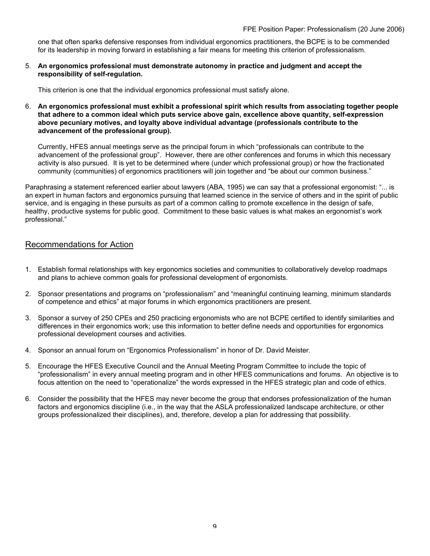one that often sparks defensive responses from individual ergonomics practitioners, the BCPE is to be commended for its leadership in moving forward in establishing a fair means for meeting this criterion of professionalism.

5. **An ergonomics professional must demonstrate autonomy in practice and judgment and accept the responsibility of self-regulation.**

This criterion is one that the individual ergonomics professional must satisfy alone.

6. **An ergonomics professional must exhibit a professional spirit which results from associating together people that adhere to a common ideal which puts service above gain, excellence above quantity, self-expression above pecuniary motives, and loyalty above individual advantage (professionals contribute to the advancement of the professional group).**

Currently, HFES annual meetings serve as the principal forum in which "professionals can contribute to the advancement of the professional group". However, there are other conferences and forums in which this necessary activity is also pursued. It is yet to be determined where (under which professional group) or how the fractionated community (communities) of ergonomics practitioners will join together and "be about our common business."

Paraphrasing a statement referenced earlier about lawyers (ABA, 1995) we can say that a professional ergonomist: "... is an expert in human factors and ergonomics pursuing that learned science in the service of others and in the spirit of public service, and is engaging in these pursuits as part of a common calling to promote excellence in the design of safe, healthy, productive systems for public good. Commitment to these basic values is what makes an ergonomist's work professional."

## Recommendations for Action

- 1. Establish formal relationships with key ergonomics societies and communities to collaboratively develop roadmaps and plans to achieve common goals for professional development of ergonomists.
- 2. Sponsor presentations and programs on "professionalism" and "meaningful continuing learning, minimum standards of competence and ethics" at major forums in which ergonomics practitioners are present.
- 3. Sponsor a survey of 250 CPEs and 250 practicing ergonomists who are not BCPE certified to identify similarities and differences in their ergonomics work; use this information to better define needs and opportunities for ergonomics professional development courses and activities.
- 4. Sponsor an annual forum on "Ergonomics Professionalism" in honor of Dr. David Meister.
- 5. Encourage the HFES Executive Council and the Annual Meeting Program Committee to include the topic of "professionalism" in every annual meeting program and in other HFES communications and forums. An objective is to focus attention on the need to "operationalize" the words expressed in the HFES strategic plan and code of ethics.
- 6. Consider the possibility that the HFES may never become the group that endorses professionalization of the human factors and ergonomics discipline (i.e., in the way that the ASLA professionalized landscape architecture, or other groups professionalized their disciplines), and, therefore, develop a plan for addressing that possibility.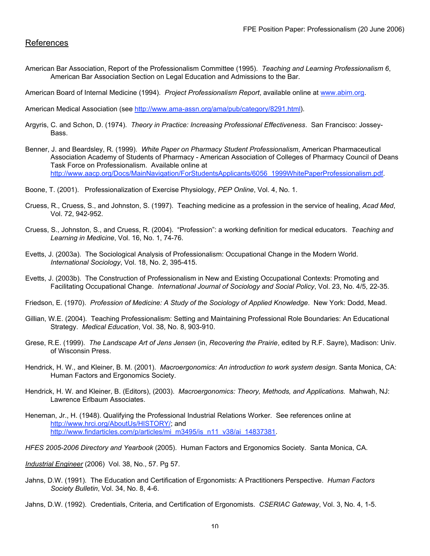## References

American Bar Association, Report of the Professionalism Committee (1995). *Teaching and Learning Professionalism 6*, American Bar Association Section on Legal Education and Admissions to the Bar.

American Board of Internal Medicine (1994). *Project Professionalism Report*, available online at www.abim.org.

American Medical Association (see http://www.ama-assn.org/ama/pub/category/8291.html).

- Argyris, C. and Schon, D. (1974). *Theory in Practice: Increasing Professional Effectiveness*. San Francisco: Jossey-**Bass**
- Benner, J. and Beardsley, R. (1999). *White Paper on Pharmacy Student Professionalism*, American Pharmaceutical Association Academy of Students of Pharmacy - American Association of Colleges of Pharmacy Council of Deans Task Force on Professionalism. Available online at http://www.aacp.org/Docs/MainNavigation/ForStudentsApplicants/6056\_1999WhitePaperProfessionalism.pdf.
- Boone, T. (2001). Professionalization of Exercise Physiology, *PEP Online*, Vol. 4, No. 1.
- Cruess, R., Cruess, S., and Johnston, S. (1997). Teaching medicine as a profession in the service of healing, *Acad Med*, Vol. 72, 942-952.
- Cruess, S., Johnston, S., and Cruess, R. (2004). "Profession": a working definition for medical educators. *Teaching and Learning in Medicine*, Vol. 16, No. 1, 74-76.
- Evetts, J. (2003a). The Sociological Analysis of Professionalism: Occupational Change in the Modern World. *International Sociology*, Vol. 18, No. 2, 395-415.
- Evetts, J. (2003b). The Construction of Professionalism in New and Existing Occupational Contexts: Promoting and Facilitating Occupational Change. *International Journal of Sociology and Social Policy*, Vol. 23, No. 4/5, 22-35.
- Friedson, E. (1970). *Profession of Medicine: A Study of the Sociology of Applied Knowledge*. New York: Dodd, Mead.
- Gillian, W.E. (2004). Teaching Professionalism: Setting and Maintaining Professional Role Boundaries: An Educational Strategy. *Medical Education*, Vol. 38, No. 8, 903-910.
- Grese, R.E. (1999). *The Landscape Art of Jens Jensen* (in, *Recovering the Prairie*, edited by R.F. Sayre), Madison: Univ. of Wisconsin Press.
- Hendrick, H. W., and Kleiner, B. M. (2001). *Macroergonomics: An introduction to work system design*. Santa Monica, CA: Human Factors and Ergonomics Society.
- Hendrick, H. W. and Kleiner, B. (Editors), (2003). *Macroergonomics: Theory, Methods, and Applications.* Mahwah, NJ: Lawrence Erlbaum Associates.
- Heneman, Jr., H. (1948). Qualifying the Professional Industrial Relations Worker. See references online at http://www.hrci.org/AboutUs/HISTORY/; and http://www.findarticles.com/p/articles/mi\_m3495/is\_n11\_v38/ai\_14837381.
- *HFES 2005-2006 Directory and Yearbook* (2005). Human Factors and Ergonomics Society. Santa Monica, CA.

*Industrial Engineer* (2006) Vol. 38, No., 57. Pg 57.

Jahns, D.W. (1991). The Education and Certification of Ergonomists: A Practitioners Perspective. *Human Factors Society Bulletin*, Vol. 34, No. 8, 4-6.

Jahns, D.W. (1992). Credentials, Criteria, and Certification of Ergonomists. *CSERIAC Gateway*, Vol. 3, No. 4, 1-5.